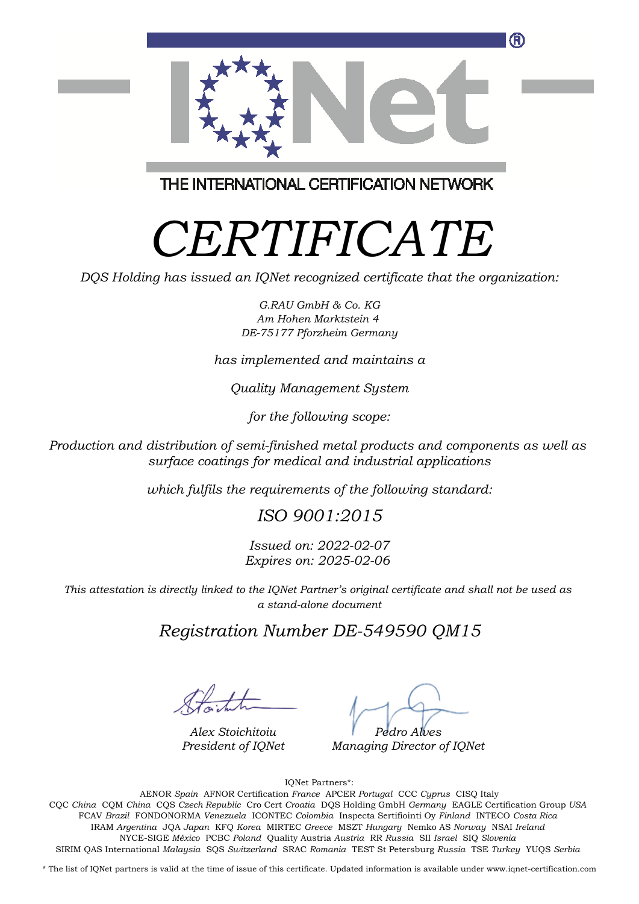

THE INTERNATIONAL CERTIFICATION NETWORK

# *CERTIFICATE*

*DQS Holding has issued an IQNet recognized certificate that the organization:*

*G.RAU GmbH & Co. KG Am Hohen Marktstein 4 DE-75177 Pforzheim Germany*

*has implemented and maintains a*

*Quality Management System*

*for the following scope:*

*Production and distribution of semi-finished metal products and components as well as surface coatings for medical and industrial applications*

*which fulfils the requirements of the following standard:*

## *ISO 9001:2015*

*Issued on: 2022-02-07 Expires on: 2025-02-06*

*This attestation is directly linked to the IQNet Partner's original certificate and shall not be used as a stand-alone document*

#### *Registration Number DE-549590 QM15*

*Alex Stoichitoiu President of IQNet*

*Pedro Alves*

*Managing Director of IQNet*

IQNet Partners\*:

This annex is only valid in connection with the above-mentioned certificate. FCAV *Brazil* FONDONORMA *Venezuela* ICONTEC *Colombia* Inspecta Sertifiointi Oy *Finland* INTECO *Costa Rica* AENOR *Spain* AFNOR Certification *France* APCER *Portugal* CCC *Cyprus* CISQ Italy CQC *China* CQM *China* CQS *Czech Republic* Cro Cert *Croatia* DQS Holding GmbH *Germany* EAGLE Certification Group *USA* IRAM *Argentina* JQA *Japan* KFQ *Korea* MIRTEC *Greece* MSZT *Hungary* Nemko AS *Norway* NSAI *Ireland* NYCE-SIGE *México* PCBC *Poland* Quality Austria *Austria* RR *Russia* SII *Israel* SIQ *Slovenia* SIRIM QAS International *Malaysia* SQS *Switzerland* SRAC *Romania* TEST St Petersburg *Russia* TSE *Turkey* YUQS *Serbia*

\* The list of IQNet partners is valid at the time of issue of this certificate. Updated information is available under www.iqnet-certification.com